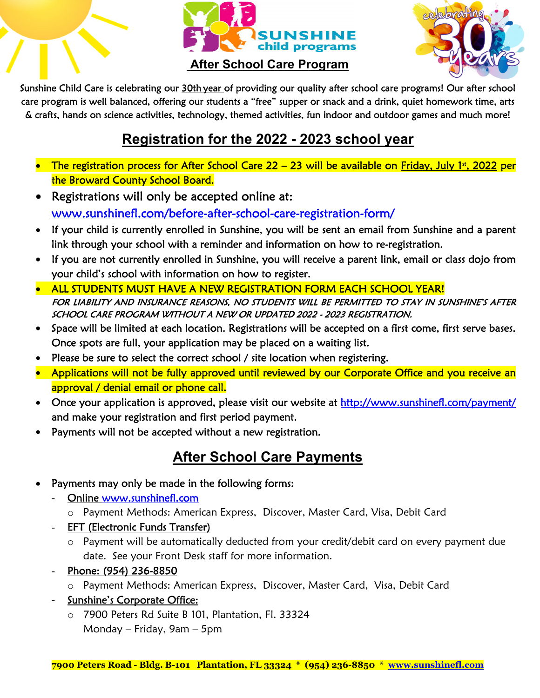

#### **After School Care Program**



Sunshine Child Care is celebrating our 30th year of providing our quality after school care programs! Our after school care program is well balanced, offering our students a "free" supper or snack and a drink, quiet homework time, arts & crafts, hands on science activities, technology, themed activities, fun indoor and outdoor games and much more!

### **Registration for the 2022 - 2023 school year**

- The registration process for After School Care 22 23 will be available on Friday, July 1<sup>st</sup>, 2022 per the Broward County School Board.
- Registrations will only be accepted online at: www.sunshinefl.com/before-after-school-care-registration-form/
- If your child is currently enrolled in Sunshine, you will be sent an email from Sunshine and a parent link through your school with a reminder and information on how to re-registration.
- If you are not currently enrolled in Sunshine, you will receive a parent link, email or class dojo from your child's school with information on how to register.
- ALL STUDENTS MUST HAVE A NEW REGISTRATION FORM EACH SCHOOL YEAR! FOR LIABILITY AND INSURANCE REASONS, NO STUDENTS WILL BE PERMITTED TO STAY IN SUNSHINE'S AFTER SCHOOL CARE PROGRAM WITHOUT A NEW OR UPDATED 2022 - 2023 REGISTRATION.
- Space will be limited at each location. Registrations will be accepted on a first come, first serve bases. Once spots are full, your application may be placed on a waiting list.
- Please be sure to select the correct school / site location when registering.
- Applications will not be fully approved until reviewed by our Corporate Office and you receive an approval / denial email or phone call.
- Once your application is approved, please visit our website at http://www.sunshinefl.com/payment/ and make your registration and first period payment.
- Payments will not be accepted without a new registration.

### **After School Care Payments**

- Payments may only be made in the following forms:
	- Online www.sunshinefl.com
		- o Payment Methods: American Express, Discover, Master Card, Visa, Debit Card
	- EFT (Electronic Funds Transfer)
		- o Payment will be automatically deducted from your credit/debit card on every payment due date. See your Front Desk staff for more information.
	- Phone: (954) 236-8850
		- o Payment Methods: American Express, Discover, Master Card, Visa, Debit Card
	- Sunshine's Corporate Office:
		- o 7900 Peters Rd Suite B 101, Plantation, Fl. 33324 Monday – Friday, 9am – 5pm